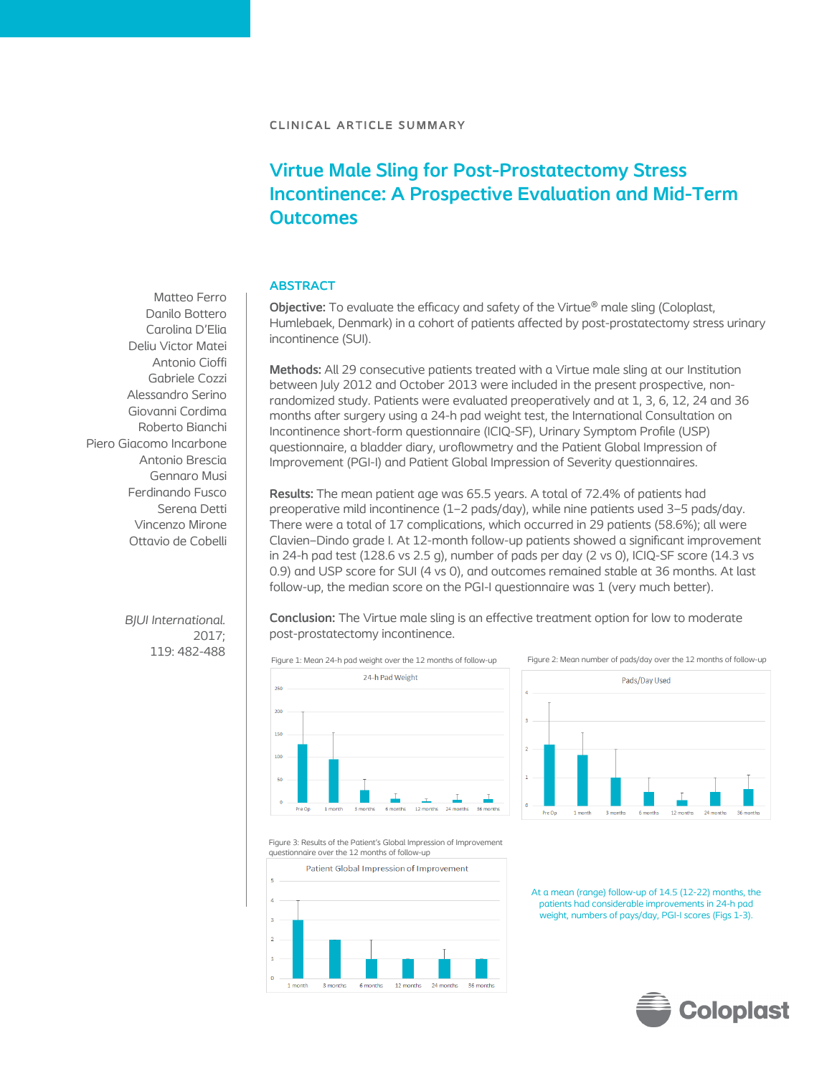# **Virtue Male Sling for Post-Prostatectomy Stress Incontinence: A Prospective Evaluation and Mid-Term Outcomes**

# **ABSTRACT**

**Objective:** To evaluate the efficacy and safety of the Virtue<sup>®</sup> male sling (Coloplast, Humlebaek, Denmark) in a cohort of patients affected by post-prostatectomy stress urinary incontinence (SUI).

**Methods:** All 29 consecutive patients treated with a Virtue male sling at our Institution between July 2012 and October 2013 were included in the present prospective, nonrandomized study. Patients were evaluated preoperatively and at 1, 3, 6, 12, 24 and 36 months after surgery using a 24-h pad weight test, the International Consultation on Incontinence short-form questionnaire (ICIQ-SF), Urinary Symptom Profile (USP) questionnaire, a bladder diary, uroflowmetry and the Patient Global Impression of Improvement (PGI-I) and Patient Global Impression of Severity questionnaires.

**Results:** The mean patient age was 65.5 years. A total of 72.4% of patients had preoperative mild incontinence (1–2 pads/day), while nine patients used 3–5 pads/day. There were a total of 17 complications, which occurred in 29 patients (58.6%); all were Clavien–Dindo grade I. At 12-month follow-up patients showed a significant improvement in 24-h pad test (128.6 vs 2.5 g), number of pads per day (2 vs 0), ICIQ-SF score (14.3 vs 0.9) and USP score for SUI (4 vs 0), and outcomes remained stable at 36 months. At last follow-up, the median score on the PGI-I questionnaire was 1 (very much better).

**Conclusion:** The Virtue male sling is an effective treatment option for low to moderate post-prostatectomy incontinence.





Figure 3: Results of the Patient's Global Impression of Improvement questionnaire over the 12 months of follow-up



At a mean (range) follow-up of 14.5 (12-22) months, the patients had considerable improvements in 24-h pad weight, numbers of pays/day, PGI-I scores (Figs 1-3).



Matteo Ferro Danilo Bottero Carolina D'Elia Deliu Victor Matei Antonio Cioffi Gabriele Cozzi Alessandro Serino Giovanni Cordima Roberto Bianchi Piero Giacomo Incarbone Antonio Brescia Gennaro Musi Ferdinando Fusco Serena Detti Vincenzo Mirone Ottavio de Cobelli

> *BJUI International.* 2017; 119: 482-488